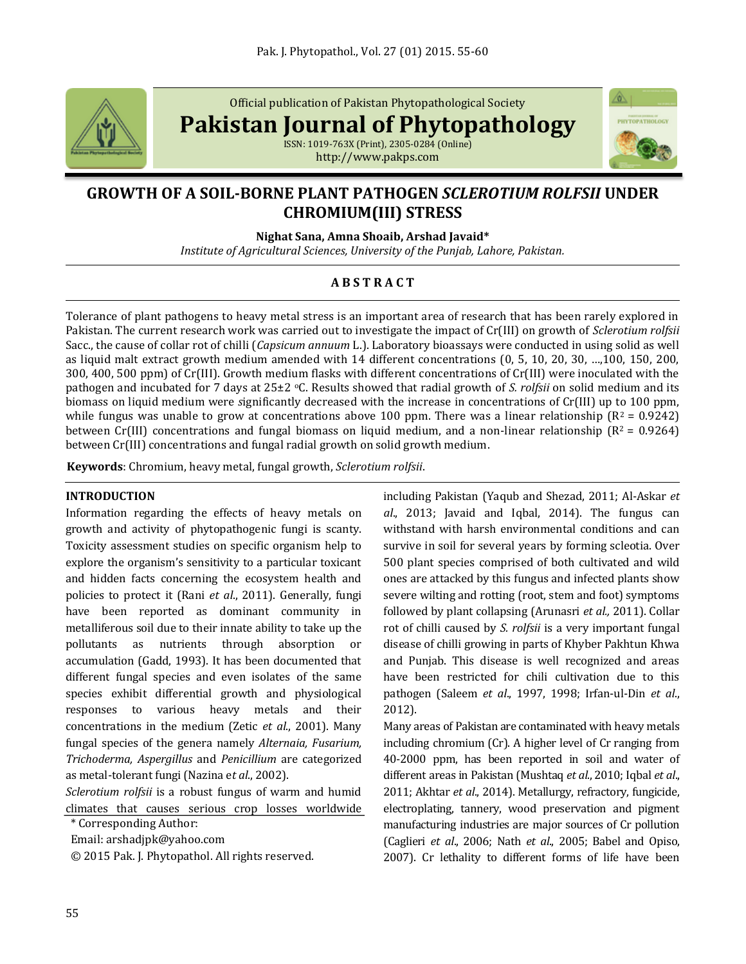

Official publication of Pakistan Phytopathological Society

**Pakistan Journal of Phytopathology**

ISSN: 1019-763X (Print), 2305-0284 (Online) http://www.pakps.com



# **GROWTH OF A SOIL-BORNE PLANT PATHOGEN** *SCLEROTIUM ROLFSII* **UNDER CHROMIUM(III) STRESS**

**Nighat Sana, Amna Shoaib, Arshad Javaid\***

*Institute of Agricultural Sciences, University of the Punjab, Lahore, Pakistan.*

# **A B S T R A C T**

Tolerance of plant pathogens to heavy metal stress is an important area of research that has been rarely explored in Pakistan. The current research work was carried out to investigate the impact of Cr(III) on growth of *Sclerotium rolfsii* Sacc., the cause of collar rot of chilli (*Capsicum annuum* L.). Laboratory bioassays were conducted in using solid as well as liquid malt extract growth medium amended with 14 different concentrations (0, 5, 10, 20, 30, …,100, 150, 200, 300, 400, 500 ppm) of Cr(III). Growth medium flasks with different concentrations of Cr(III) were inoculated with the pathogen and incubated for 7 days at 25±2 oC. Results showed that radial growth of *S. rolfsii* on solid medium and its biomass on liquid medium were *s*ignificantly decreased with the increase in concentrations of Cr(III) up to 100 ppm, while fungus was unable to grow at concentrations above 100 ppm. There was a linear relationship ( $R^2 = 0.9242$ ) between Cr(III) concentrations and fungal biomass on liquid medium, and a non-linear relationship ( $R^2 = 0.9264$ ) between Cr(III) concentrations and fungal radial growth on solid growth medium.

**Keywords**: Chromium, heavy metal, fungal growth, *Sclerotium rolfsii*.

#### **INTRODUCTION**

Information regarding the effects of heavy metals on growth and activity of phytopathogenic fungi is scanty. Toxicity assessment studies on specific organism help to explore the organism's sensitivity to a particular toxicant and hidden facts concerning the ecosystem health and policies to protect it (Rani *et al*., 2011). Generally, fungi have been reported as dominant community in metalliferous soil due to their innate ability to take up the pollutants as nutrients through absorption or accumulation (Gadd, 1993). It has been documented that different fungal species and even isolates of the same species exhibit differential growth and physiological responses to various heavy metals and their concentrations in the medium (Zetic *et al*., 2001). Many fungal species of the genera namely *Alternaia, Fusarium, Trichoderma, Aspergillus* and *Penicillium* are categorized as metal-tolerant fungi (Nazina e*t al*., 2002).

*Sclerotium rolfsii* is a robust fungus of warm and humid climates that causes serious crop losses worldwide

\* Corresponding Author:

Email: arshadjpk@yahoo.com

© 2015 Pak. J. Phytopathol. All rights reserved.

including Pakistan (Yaqub and Shezad, 2011; Al-Askar *et al*., 2013; Javaid and Iqbal, 2014). The fungus can withstand with harsh environmental conditions and can survive in soil for several years by forming scleotia. Over 500 plant species comprised of both cultivated and wild ones are attacked by this fungus and infected plants show severe wilting and rotting (root, stem and foot) symptoms followed by plant collapsing (Arunasri *et al.,* 2011). Collar rot of chilli caused by *S. rolfsii* is a very important fungal disease of chilli growing in parts of Khyber Pakhtun Khwa and Punjab. This disease is well recognized and areas have been restricted for chili cultivation due to this pathogen (Saleem *et al*., 1997, 1998; Irfan-ul-Din *et al*., 2012).

Many areas of Pakistan are contaminated with heavy metals including chromium (Cr). A higher level of Cr ranging from 40-2000 ppm, has been reported in soil and water of different areas in Pakistan (Mushtaq *et al*., 2010; Iqbal *et al*., 2011; Akhtar *et al*., 2014). Metallurgy, refractory, fungicide, electroplating, tannery, wood preservation and pigment manufacturing industries are major sources of Cr pollution (Caglieri *et al*., 2006; Nath *et al*., 2005; Babel and Opiso, 2007). Cr lethality to different forms of life have been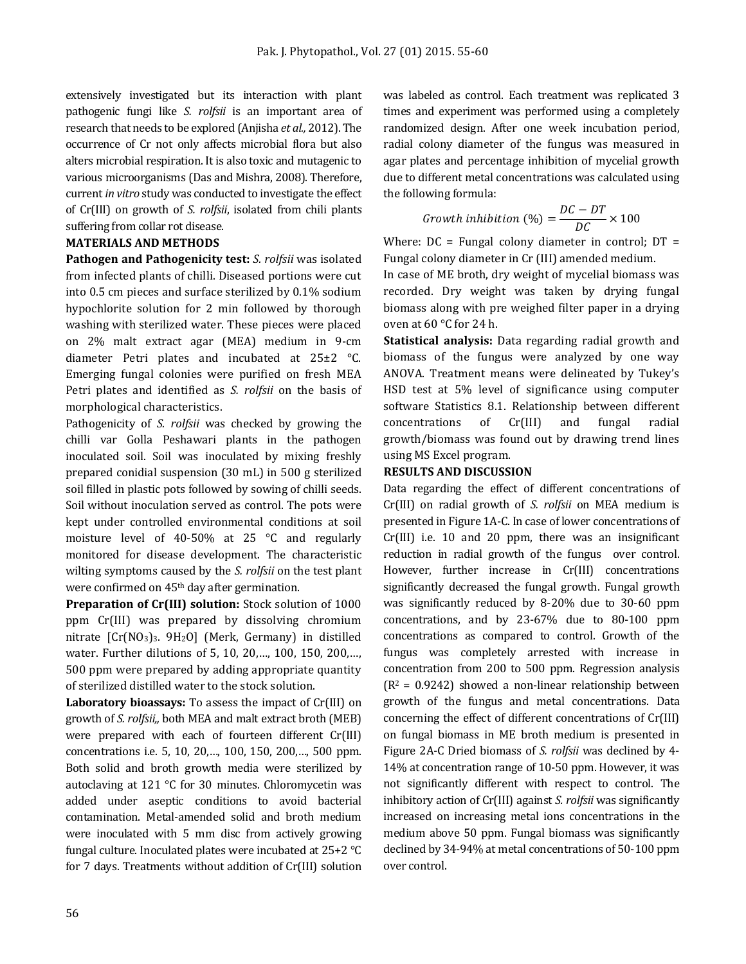extensively investigated but its interaction with plant pathogenic fungi like *S. rolfsii* is an important area of research that needs to be explored (Anjisha *et al.,* 2012). The occurrence of Cr not only affects microbial flora but also alters microbial respiration. It is also toxic and mutagenic to various microorganisms (Das and Mishra, 2008). Therefore, current *in vitro* study was conducted to investigate the effect of Cr(III) on growth of *S. rolfsii*, isolated from chili plants suffering from collar rot disease.

## **MATERIALS AND METHODS**

**Pathogen and Pathogenicity test:** *S. rolfsii* was isolated from infected plants of chilli. Diseased portions were cut into 0.5 cm pieces and surface sterilized by 0.1% sodium hypochlorite solution for 2 min followed by thorough washing with sterilized water. These pieces were placed on 2% malt extract agar (MEA) medium in 9-cm diameter Petri plates and incubated at 25±2 °C. Emerging fungal colonies were purified on fresh MEA Petri plates and identified as *S. rolfsii* on the basis of morphological characteristics.

Pathogenicity of *S. rolfsii* was checked by growing the chilli var Golla Peshawari plants in the pathogen inoculated soil. Soil was inoculated by mixing freshly prepared conidial suspension (30 mL) in 500 g sterilized soil filled in plastic pots followed by sowing of chilli seeds. Soil without inoculation served as control. The pots were kept under controlled environmental conditions at soil moisture level of 40-50% at 25 °C and regularly monitored for disease development. The characteristic wilting symptoms caused by the *S. rolfsii* on the test plant were confirmed on 45<sup>th</sup> day after germination.

**Preparation of Cr(III) solution:** Stock solution of 1000 ppm Cr(III) was prepared by dissolving chromium nitrate  $[Cr(NO<sub>3</sub>)<sub>3</sub>$ . 9H<sub>2</sub>O] (Merk, Germany) in distilled water. Further dilutions of 5, 10, 20,…, 100, 150, 200,…, 500 ppm were prepared by adding appropriate quantity of sterilized distilled water to the stock solution.

**Laboratory bioassays:** To assess the impact of Cr(III) on growth of *S. rolfsii,,* both MEA and malt extract broth (MEB) were prepared with each of fourteen different Cr(III) concentrations i.e. 5, 10, 20,…, 100, 150, 200,…, 500 ppm. Both solid and broth growth media were sterilized by autoclaving at 121 °C for 30 minutes. Chloromycetin was added under aseptic conditions to avoid bacterial contamination. Metal-amended solid and broth medium were inoculated with 5 mm disc from actively growing fungal culture. Inoculated plates were incubated at 25+2 °C for 7 days. Treatments without addition of Cr(III) solution was labeled as control. Each treatment was replicated 3 times and experiment was performed using a completely randomized design. After one week incubation period, radial colony diameter of the fungus was measured in agar plates and percentage inhibition of mycelial growth due to different metal concentrations was calculated using the following formula:

$$
Growth inhibition (%) = \frac{DC - DT}{DC} \times 100
$$

Where:  $DC = Fungal$  colony diameter in control;  $DT =$ Fungal colony diameter in Cr (III) amended medium.

In case of ME broth, dry weight of mycelial biomass was recorded. Dry weight was taken by drying fungal biomass along with pre weighed filter paper in a drying oven at 60 °C for 24 h.

**Statistical analysis:** Data regarding radial growth and biomass of the fungus were analyzed by one way ANOVA. Treatment means were delineated by Tukey's HSD test at 5% level of significance using computer software Statistics 8.1. Relationship between different concentrations of Cr(III) and fungal radial growth/biomass was found out by drawing trend lines using MS Excel program.

## **RESULTS AND DISCUSSION**

Data regarding the effect of different concentrations of Cr(III) on radial growth of *S. rolfsii* on MEA medium is presented in Figure 1A-C. In case of lower concentrations of Cr(III) i.e. 10 and 20 ppm, there was an insignificant reduction in radial growth of the fungus over control. However, further increase in Cr(III) concentrations significantly decreased the fungal growth. Fungal growth was significantly reduced by 8-20% due to 30-60 ppm concentrations, and by 23-67% due to 80-100 ppm concentrations as compared to control. Growth of the fungus was completely arrested with increase in concentration from 200 to 500 ppm. Regression analysis  $(R^2 = 0.9242)$  showed a non-linear relationship between growth of the fungus and metal concentrations. Data concerning the effect of different concentrations of Cr(III) on fungal biomass in ME broth medium is presented in Figure 2A-C Dried biomass of *S. rolfsii* was declined by 4- 14% at concentration range of 10-50 ppm. However, it was not significantly different with respect to control. The inhibitory action of Cr(III) against *S. rolfsii* was significantly increased on increasing metal ions concentrations in the medium above 50 ppm. Fungal biomass was significantly declined by 34-94% at metal concentrations of 50-100 ppm over control.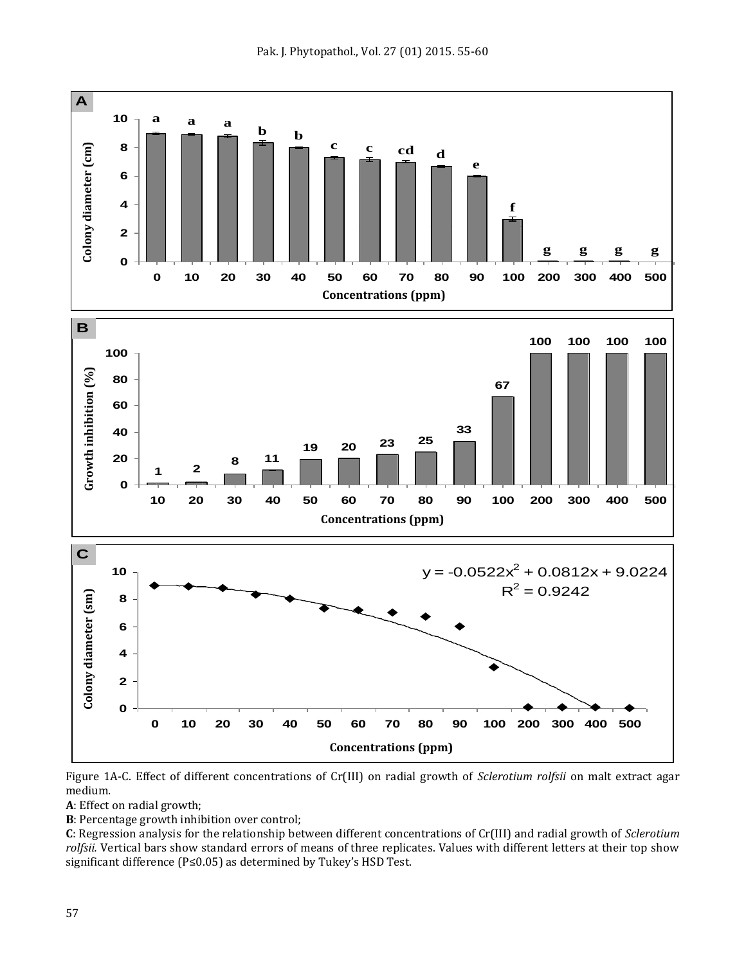



Figure 1A-C. Effect of different concentrations of Cr(III) on radial growth of *Sclerotium rolfsii* on malt extract agar medium*.*

**A**: Effect on radial growth;

**B**: Percentage growth inhibition over control;

**C**: Regression analysis for the relationship between different concentrations of Cr(III) and radial growth of *Sclerotium rolfsii.* Vertical bars show standard errors of means of three replicates. Values with different letters at their top show significant difference (P≤0.05) as determined by Tukey's HSD Test.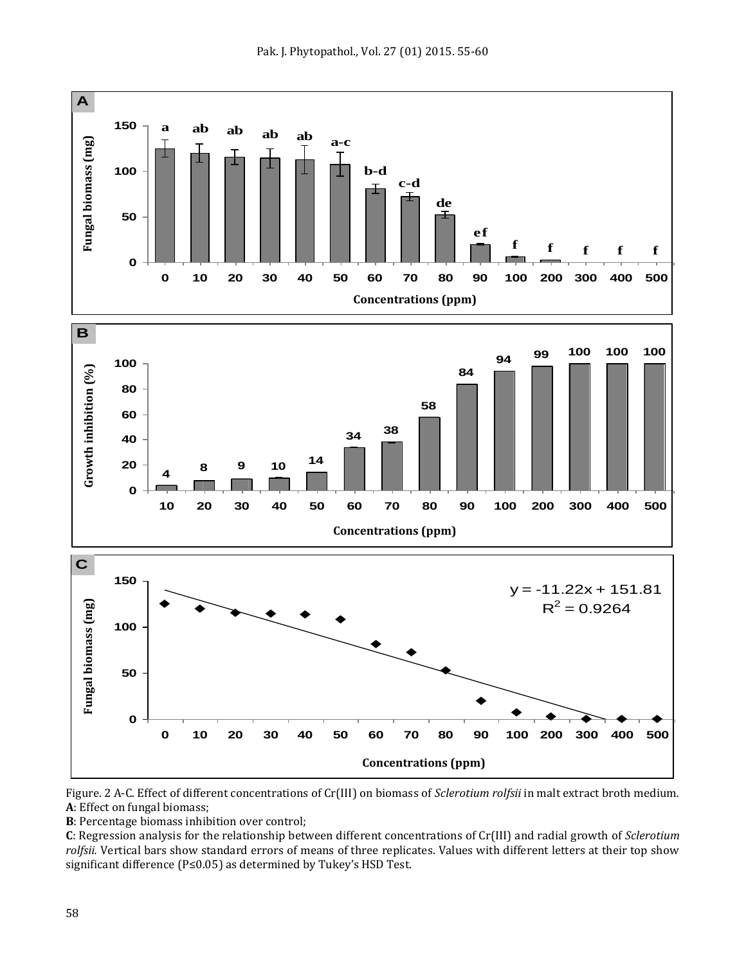



Figure. 2 A-C. Effect of different concentrations of Cr(III) on biomass of *Sclerotium rolfsii* in malt extract broth medium*.* **A**: Effect on fungal biomass;

**B**: Percentage biomass inhibition over control;

**C**: Regression analysis for the relationship between different concentrations of Cr(III) and radial growth of *Sclerotium rolfsii.* Vertical bars show standard errors of means of three replicates. Values with different letters at their top show significant difference (P≤0.05) as determined by Tukey's HSD Test.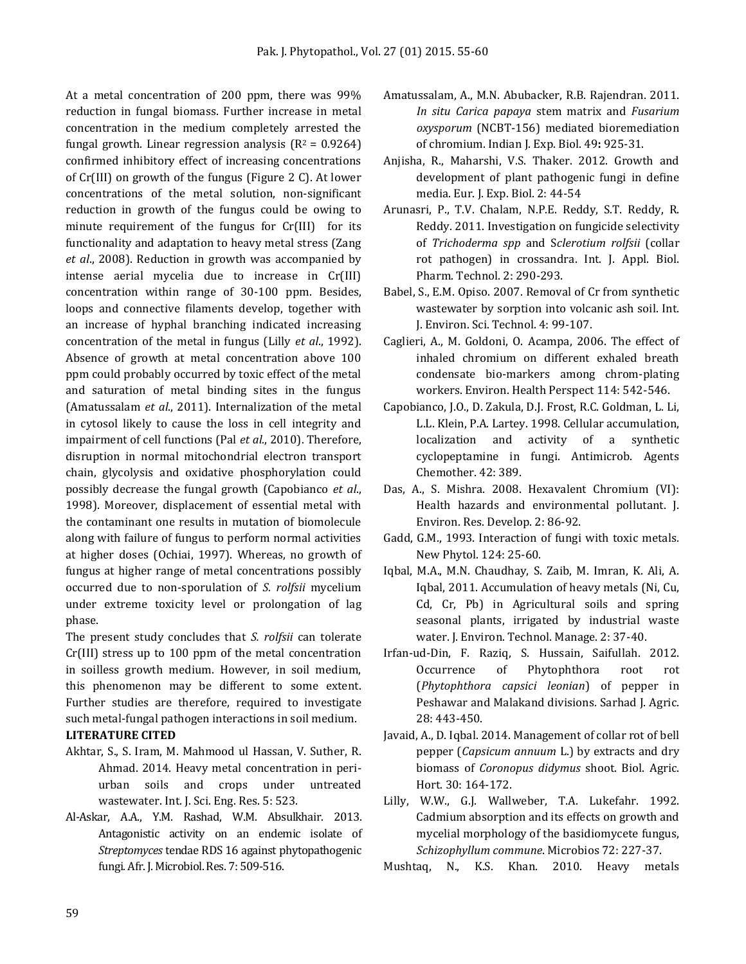At a metal concentration of 200 ppm, there was 99% reduction in fungal biomass. Further increase in metal concentration in the medium completely arrested the fungal growth. Linear regression analysis  $(R^2 = 0.9264)$ confirmed inhibitory effect of increasing concentrations of Cr(III) on growth of the fungus (Figure 2 C). At lower concentrations of the metal solution, non-significant reduction in growth of the fungus could be owing to minute requirement of the fungus for Cr(III) for its functionality and adaptation to heavy metal stress (Zang *et al*., 2008). Reduction in growth was accompanied by intense aerial mycelia due to increase in Cr(III) concentration within range of 30-100 ppm. Besides, loops and connective filaments develop, together with an increase of hyphal branching indicated increasing concentration of the metal in fungus (Lilly *et al*., 1992). Absence of growth at metal concentration above 100 ppm could probably occurred by toxic effect of the metal and saturation of metal binding sites in the fungus (Amatussalam *et al*., 2011). Internalization of the metal in cytosol likely to cause the loss in cell integrity and impairment of cell functions (Pal *et al.*, 2010). Therefore, disruption in normal mitochondrial electron transport chain, glycolysis and oxidative phosphorylation could possibly decrease the fungal growth (Capobianco *et al*., 1998). Moreover, displacement of essential metal with the contaminant one results in mutation of biomolecule along with failure of fungus to perform normal activities at higher doses (Ochiai, 1997). Whereas, no growth of fungus at higher range of metal concentrations possibly occurred due to non-sporulation of *S. rolfsii* mycelium under extreme toxicity level or prolongation of lag phase.

The present study concludes that *S. rolfsii* can tolerate Cr(III) stress up to 100 ppm of the metal concentration in soilless growth medium. However, in soil medium, this phenomenon may be different to some extent. Further studies are therefore, required to investigate such metal-fungal pathogen interactions in soil medium. **LITERATURE CITED**

- Akhtar, S., S. Iram, M. Mahmood ul Hassan, V. Suther, R. Ahmad. 2014. Heavy metal concentration in periurban soils and crops under untreated wastewater. Int. J. Sci. Eng. Res. 5: 523.
- Al-Askar, A.A., Y.M. Rashad, W.M. Absulkhair. 2013. Antagonistic activity on an endemic isolate of *Streptomyces* tendae RDS 16 against phytopathogenic fungi*.* Afr. J. Microbiol. Res. 7: 509-516.
- Amatussalam, A., M.N. Abubacker, R.B. [Rajendran.](http://www.ncbi.nlm.nih.gov/pubmed?term=Rajendran%20RB%5BAuthor%5D&cauthor=true&cauthor_uid=22403866) 2011. *In situ Carica papaya* stem matrix and *Fusarium oxysporum* (NCBT-156) mediated bioremediation of chromium. Indian J. Exp. Biol. 49**:** 925-31.
- Anjisha, R., Maharshi, V.S. Thaker. 2012. Growth and development of plant pathogenic fungi in define media. Eur. J. Exp. Biol. 2: 44-54
- Arunasri, P., T.V. Chalam, N.P.E. Reddy, S.T. Reddy, R. Reddy. 2011. Investigation on fungicide selectivity of *Trichoderma spp* and S*clerotium rolfsii* (collar rot pathogen) in crossandra. Int. J. Appl. Biol. Pharm. Technol. 2: 290-293.
- Babel, S., E.M. Opiso. 2007. Removal of Cr from synthetic wastewater by sorption into volcanic ash soil. Int. J. Environ. Sci. Technol. 4: 99-107.
- Caglieri, A., M. Goldoni, O. Acampa, 2006. The effect of inhaled chromium on different exhaled breath condensate bio-markers among chrom-plating workers. Environ. Health Perspect 114: 542-546.
- Capobianco, J.O., D. Zakula, D.J. Frost, R.C. Goldman, L. Li, L.L. Klein, P.A. Lartey. 1998. Cellular accumulation, localization and activity of a synthetic cyclopeptamine in fungi. Antimicrob. Agents Chemother. 42: 389.
- Das, A., S. Mishra. 2008. Hexavalent Chromium (VI): Health hazards and environmental pollutant. J. Environ. Res. Develop. 2: 86-92.
- Gadd, G.M., 1993. Interaction of fungi with toxic metals. New Phytol. 124: 25-60.
- Iqbal, M.A., M.N. Chaudhay, S. Zaib, M. Imran, K. Ali, A. Iqbal, 2011. Accumulation of heavy metals (Ni, Cu, Cd, Cr, Pb) in Agricultural soils and spring seasonal plants, irrigated by industrial waste water. J. Environ. Technol. Manage. 2: 37-40.
- Irfan-ud-Din, F. Raziq, S. Hussain, Saifullah. 2012. Occurrence of Phytophthora root rot (*Phytophthora capsici leonian*) of pepper in Peshawar and Malakand divisions. Sarhad J. Agric. 28: 443-450.
- Javaid, A., D. Iqbal. 2014. Management of collar rot of bell pepper (*Capsicum annuum* L.) by extracts and dry biomass of *Coronopus didymus* shoot. Biol. Agric. Hort. 30: 164-172.
- Lilly, W.W., G.J. Wallweber, T.A. Lukefahr. 1992. Cadmium absorption and its effects on growth and mycelial morphology of the basidiomycete fungus, *Schizophyllum commune*. Microbios 72: 227-37.
- Mushtaq, N., K.S. Khan. 2010. Heavy metals